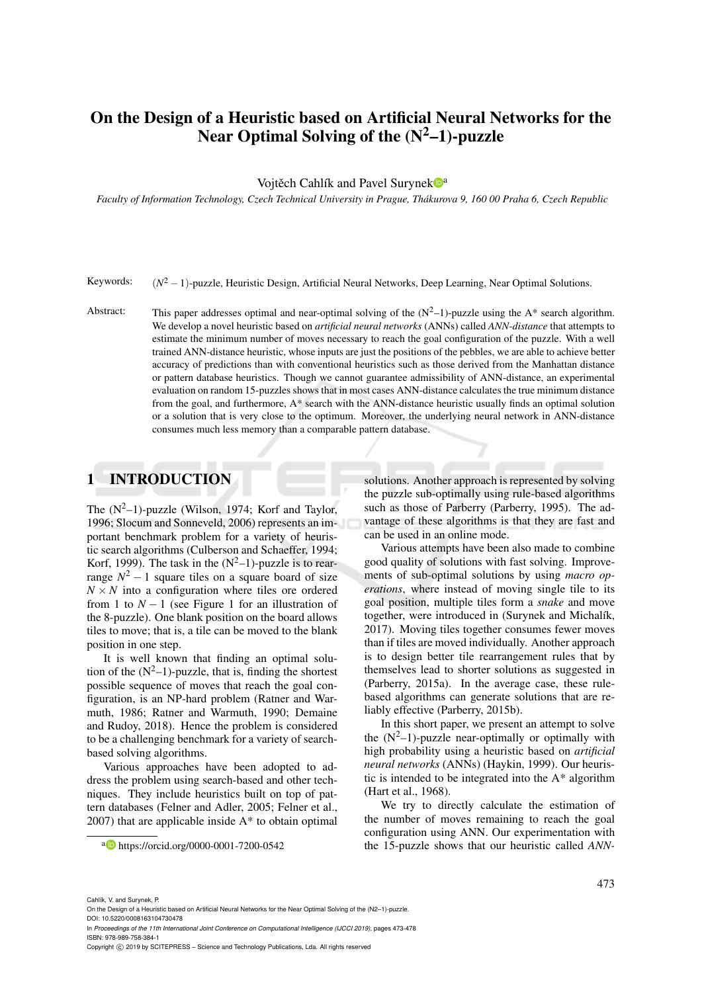# On the Design of a Heuristic based on Artificial Neural Networks for the Near Optimal Solving of the  $(N^2-1)$ -puzzle

#### Vojtěch Cahlík and Pavel Surynek <sup>a</sup>

*Faculty of Information Technology, Czech Technical University in Prague, Thakurova 9, 160 00 Praha 6, Czech Republic ´*

Keywords:  $(N^2 - 1)$ -puzzle, Heuristic Design, Artificial Neural Networks, Deep Learning, Near Optimal Solutions.

Abstract: This paper addresses optimal and near-optimal solving of the  $(N^2-1)$ -puzzle using the A\* search algorithm. We develop a novel heuristic based on *artificial neural networks* (ANNs) called *ANN-distance* that attempts to estimate the minimum number of moves necessary to reach the goal configuration of the puzzle. With a well trained ANN-distance heuristic, whose inputs are just the positions of the pebbles, we are able to achieve better accuracy of predictions than with conventional heuristics such as those derived from the Manhattan distance or pattern database heuristics. Though we cannot guarantee admissibility of ANN-distance, an experimental evaluation on random 15-puzzles shows that in most cases ANN-distance calculates the true minimum distance from the goal, and furthermore, A\* search with the ANN-distance heuristic usually finds an optimal solution or a solution that is very close to the optimum. Moreover, the underlying neural network in ANN-distance consumes much less memory than a comparable pattern database.

### 1 INTRODUCTION

The  $(N^2-1)$ -puzzle (Wilson, 1974; Korf and Taylor, 1996; Slocum and Sonneveld, 2006) represents an important benchmark problem for a variety of heuristic search algorithms (Culberson and Schaeffer, 1994; Korf, 1999). The task in the  $(N^2-1)$ -puzzle is to rearrange  $N^2 - 1$  square tiles on a square board of size  $N \times N$  into a configuration where tiles ore ordered from 1 to  $N-1$  (see Figure 1 for an illustration of the 8-puzzle). One blank position on the board allows tiles to move; that is, a tile can be moved to the blank position in one step.

It is well known that finding an optimal solution of the  $(N^2-1)$ -puzzle, that is, finding the shortest possible sequence of moves that reach the goal configuration, is an NP-hard problem (Ratner and Warmuth, 1986; Ratner and Warmuth, 1990; Demaine and Rudoy, 2018). Hence the problem is considered to be a challenging benchmark for a variety of searchbased solving algorithms.

Various approaches have been adopted to address the problem using search-based and other techniques. They include heuristics built on top of pattern databases (Felner and Adler, 2005; Felner et al.,  $2007$ ) that are applicable inside  $A^*$  to obtain optimal

<sup>a</sup> https://orcid.org/0000-0001-7200-0542

solutions. Another approach is represented by solving the puzzle sub-optimally using rule-based algorithms such as those of Parberry (Parberry, 1995). The advantage of these algorithms is that they are fast and can be used in an online mode.

Various attempts have been also made to combine good quality of solutions with fast solving. Improvements of sub-optimal solutions by using *macro operations*, where instead of moving single tile to its goal position, multiple tiles form a *snake* and move together, were introduced in (Surynek and Michalík, 2017). Moving tiles together consumes fewer moves than if tiles are moved individually. Another approach is to design better tile rearrangement rules that by themselves lead to shorter solutions as suggested in (Parberry, 2015a). In the average case, these rulebased algorithms can generate solutions that are reliably effective (Parberry, 2015b).

In this short paper, we present an attempt to solve the  $(N^2-1)$ -puzzle near-optimally or optimally with high probability using a heuristic based on *artificial neural networks* (ANNs) (Haykin, 1999). Our heuristic is intended to be integrated into the A\* algorithm (Hart et al., 1968).

We try to directly calculate the estimation of the number of moves remaining to reach the goal configuration using ANN. Our experimentation with the 15-puzzle shows that our heuristic called *ANN-*

In *Proceedings of the 11th International Joint Conference on Computational Intelligence (IJCCI 2019)*, pages 473-478 ISBN: 978-989-758-384-1

Cahlík, V. and Surynek, P.

On the Design of a Heuristic based on Artificial Neural Networks for the Near Optimal Solving of the (N2-1)-puzzle DOI: 10.5220/0008163104730478

Copyright (C) 2019 by SCITEPRESS - Science and Technology Publications, Lda. All rights reserved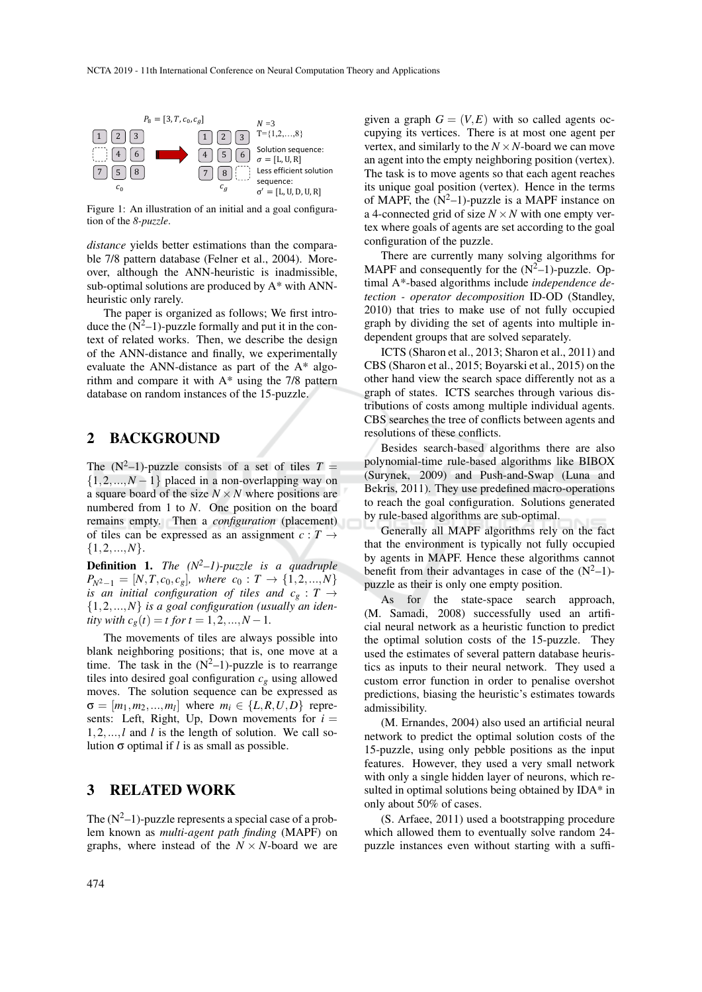

Figure 1: An illustration of an initial and a goal configuration of the *8-puzzle*.

*distance* yields better estimations than the comparable 7/8 pattern database (Felner et al., 2004). Moreover, although the ANN-heuristic is inadmissible, sub-optimal solutions are produced by A\* with ANNheuristic only rarely.

The paper is organized as follows; We first introduce the  $(N^2-1)$ -puzzle formally and put it in the context of related works. Then, we describe the design of the ANN-distance and finally, we experimentally evaluate the ANN-distance as part of the A\* algorithm and compare it with  $A^*$  using the 7/8 pattern database on random instances of the 15-puzzle.

### 2 BACKGROUND

The  $(N^2-1)$ -puzzle consists of a set of tiles  $T =$  $\{1,2,...,N-1\}$  placed in a non-overlapping way on a square board of the size  $N \times N$  where positions are numbered from 1 to *N*. One position on the board remains empty. Then a *configuration* (placement) of tiles can be expressed as an assignment  $c: T \rightarrow$  $\{1,2,...,N\}.$ 

Definition 1. *The (N2–1)-puzzle is a quadruple*  $P_{N^2-1} = [N, T, c_0, c_g]$ , where  $c_0 : T \rightarrow \{1, 2, ..., N\}$ *is an initial configuration of tiles and*  $c_g : T \rightarrow$ {1,2,...,*N*} *is a goal configuration (usually an identity with*  $c_g(t) = t$  *for*  $t = 1, 2, ..., N - 1$ .

The movements of tiles are always possible into blank neighboring positions; that is, one move at a time. The task in the  $(N^2-1)$ -puzzle is to rearrange tiles into desired goal configuration  $c_g$  using allowed moves. The solution sequence can be expressed as  $\sigma = [m_1, m_2, ..., m_l]$  where  $m_i \in \{L, R, U, D\}$  represents: Left, Right, Up, Down movements for  $i =$ 1,2,...,*l* and *l* is the length of solution. We call solution σ optimal if *l* is as small as possible.

### 3 RELATED WORK

The  $(N^2-1)$ -puzzle represents a special case of a problem known as *multi-agent path finding* (MAPF) on graphs, where instead of the  $N \times N$ -board we are

given a graph  $G = (V, E)$  with so called agents occupying its vertices. There is at most one agent per vertex, and similarly to the  $N \times N$ -board we can move an agent into the empty neighboring position (vertex). The task is to move agents so that each agent reaches its unique goal position (vertex). Hence in the terms of MAPF, the  $(N^2-1)$ -puzzle is a MAPF instance on a 4-connected grid of size  $N \times N$  with one empty vertex where goals of agents are set according to the goal configuration of the puzzle.

There are currently many solving algorithms for MAPF and consequently for the  $(N^2-1)$ -puzzle. Optimal A\*-based algorithms include *independence detection - operator decomposition* ID-OD (Standley, 2010) that tries to make use of not fully occupied graph by dividing the set of agents into multiple independent groups that are solved separately.

ICTS (Sharon et al., 2013; Sharon et al., 2011) and CBS (Sharon et al., 2015; Boyarski et al., 2015) on the other hand view the search space differently not as a graph of states. ICTS searches through various distributions of costs among multiple individual agents. CBS searches the tree of conflicts between agents and resolutions of these conflicts.

Besides search-based algorithms there are also polynomial-time rule-based algorithms like BIBOX (Surynek, 2009) and Push-and-Swap (Luna and Bekris, 2011). They use predefined macro-operations to reach the goal configuration. Solutions generated by rule-based algorithms are sub-optimal.

Generally all MAPF algorithms rely on the fact that the environment is typically not fully occupied by agents in MAPF. Hence these algorithms cannot benefit from their advantages in case of the  $(N^2-1)$ puzzle as their is only one empty position.

As for the state-space search approach, (M. Samadi, 2008) successfully used an artificial neural network as a heuristic function to predict the optimal solution costs of the 15-puzzle. They used the estimates of several pattern database heuristics as inputs to their neural network. They used a custom error function in order to penalise overshot predictions, biasing the heuristic's estimates towards admissibility.

(M. Ernandes, 2004) also used an artificial neural network to predict the optimal solution costs of the 15-puzzle, using only pebble positions as the input features. However, they used a very small network with only a single hidden layer of neurons, which resulted in optimal solutions being obtained by IDA\* in only about 50% of cases.

(S. Arfaee, 2011) used a bootstrapping procedure which allowed them to eventually solve random 24 puzzle instances even without starting with a suffi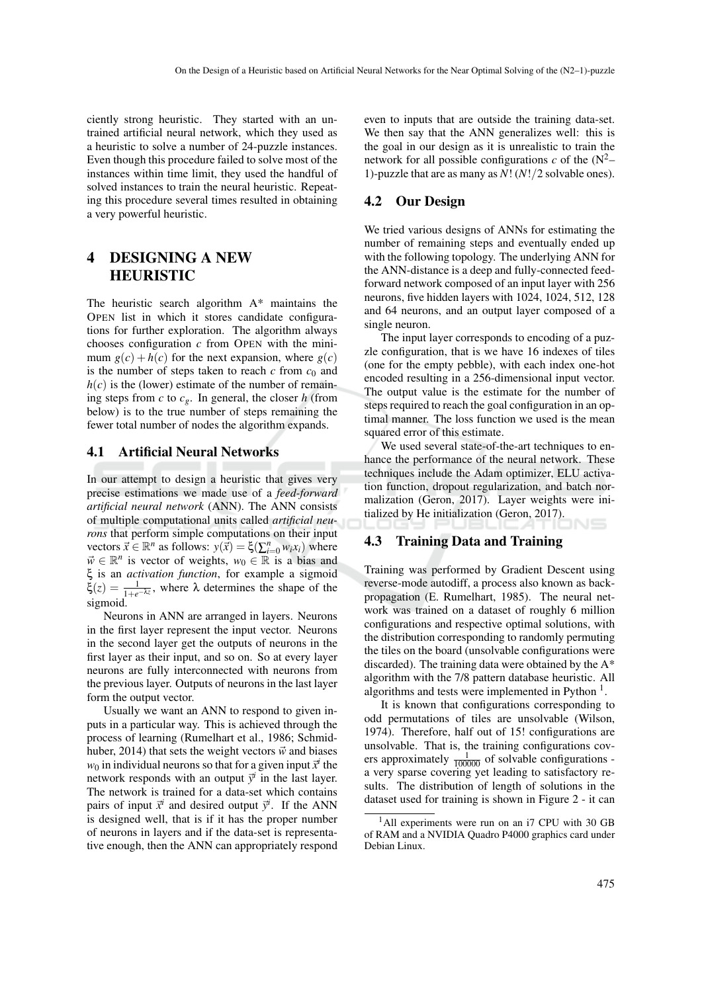ciently strong heuristic. They started with an untrained artificial neural network, which they used as a heuristic to solve a number of 24-puzzle instances. Even though this procedure failed to solve most of the instances within time limit, they used the handful of solved instances to train the neural heuristic. Repeating this procedure several times resulted in obtaining a very powerful heuristic.

# 4 DESIGNING A NEW HEURISTIC

The heuristic search algorithm A\* maintains the OPEN list in which it stores candidate configurations for further exploration. The algorithm always chooses configuration *c* from OPEN with the minimum  $g(c) + h(c)$  for the next expansion, where  $g(c)$ is the number of steps taken to reach  $c$  from  $c_0$  and  $h(c)$  is the (lower) estimate of the number of remaining steps from *c* to *cg*. In general, the closer *h* (from below) is to the true number of steps remaining the fewer total number of nodes the algorithm expands.

#### 4.1 Artificial Neural Networks

In our attempt to design a heuristic that gives very precise estimations we made use of a *feed-forward artificial neural network* (ANN). The ANN consists of multiple computational units called *artificial neurons* that perform simple computations on their input vectors  $\vec{x} \in \mathbb{R}^n$  as follows:  $y(\vec{x}) = \xi(\sum_{i=0}^n w_i x_i)$  where  $\vec{w} \in \mathbb{R}^n$  is vector of weights,  $w_0 \in \mathbb{R}$  is a bias and ξ is an *activation function*, for example a sigmoid  $\xi(z) = \frac{1}{1+e^{-\lambda z}}$ , where  $\lambda$  determines the shape of the sigmoid.

Neurons in ANN are arranged in layers. Neurons in the first layer represent the input vector. Neurons in the second layer get the outputs of neurons in the first layer as their input, and so on. So at every layer neurons are fully interconnected with neurons from the previous layer. Outputs of neurons in the last layer form the output vector.

Usually we want an ANN to respond to given inputs in a particular way. This is achieved through the process of learning (Rumelhart et al., 1986; Schmidhuber, 2014) that sets the weight vectors  $\vec{w}$  and biases  $w_0$  in individual neurons so that for a given input  $\vec{x}^i$  the network responds with an output  $\vec{y}^i$  in the last layer. The network is trained for a data-set which contains pairs of input  $\vec{x}^i$  and desired output  $\vec{y}^i$ . If the ANN is designed well, that is if it has the proper number of neurons in layers and if the data-set is representative enough, then the ANN can appropriately respond even to inputs that are outside the training data-set. We then say that the ANN generalizes well: this is the goal in our design as it is unrealistic to train the network for all possible configurations  $c$  of the  $(N^2-$ 1)-puzzle that are as many as *N*! (*N*!/2 solvable ones).

#### 4.2 Our Design

We tried various designs of ANNs for estimating the number of remaining steps and eventually ended up with the following topology. The underlying ANN for the ANN-distance is a deep and fully-connected feedforward network composed of an input layer with 256 neurons, five hidden layers with 1024, 1024, 512, 128 and 64 neurons, and an output layer composed of a single neuron.

The input layer corresponds to encoding of a puzzle configuration, that is we have 16 indexes of tiles (one for the empty pebble), with each index one-hot encoded resulting in a 256-dimensional input vector. The output value is the estimate for the number of steps required to reach the goal configuration in an optimal manner. The loss function we used is the mean squared error of this estimate.

We used several state-of-the-art techniques to enhance the performance of the neural network. These techniques include the Adam optimizer, ELU activation function, dropout regularization, and batch normalization (Geron, 2017). Layer weights were initialized by He initialization (Geron, 2017).

#### 4.3 Training Data and Training

Training was performed by Gradient Descent using reverse-mode autodiff, a process also known as backpropagation (E. Rumelhart, 1985). The neural network was trained on a dataset of roughly 6 million configurations and respective optimal solutions, with the distribution corresponding to randomly permuting the tiles on the board (unsolvable configurations were discarded). The training data were obtained by the A\* algorithm with the 7/8 pattern database heuristic. All algorithms and tests were implemented in Python  $<sup>1</sup>$ .</sup>

It is known that configurations corresponding to odd permutations of tiles are unsolvable (Wilson, 1974). Therefore, half out of 15! configurations are unsolvable. That is, the training configurations covers approximately  $\frac{1}{100000}$  of solvable configurations a very sparse covering yet leading to satisfactory results. The distribution of length of solutions in the dataset used for training is shown in Figure 2 - it can

 $1$ All experiments were run on an i7 CPU with 30 GB of RAM and a NVIDIA Quadro P4000 graphics card under Debian Linux.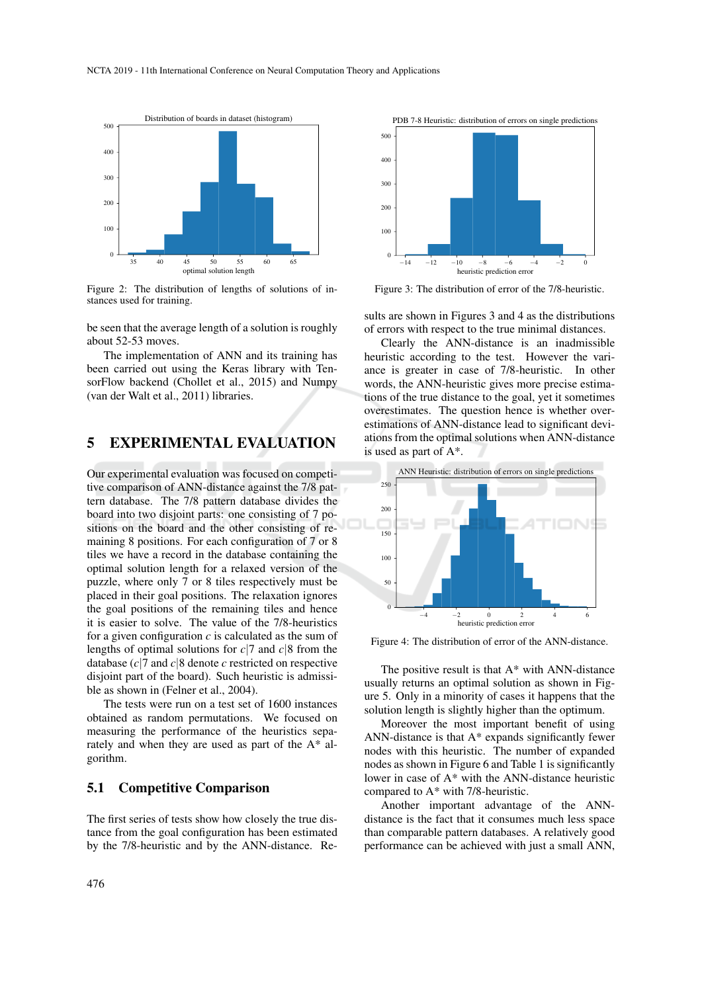

Figure 2: The distribution of lengths of solutions of instances used for training.

be seen that the average length of a solution is roughly about 52-53 moves.

The implementation of ANN and its training has been carried out using the Keras library with TensorFlow backend (Chollet et al., 2015) and Numpy (van der Walt et al., 2011) libraries.

### 5 EXPERIMENTAL EVALUATION

Our experimental evaluation was focused on competitive comparison of ANN-distance against the 7/8 pattern database. The 7/8 pattern database divides the board into two disjoint parts: one consisting of 7 positions on the board and the other consisting of remaining 8 positions. For each configuration of 7 or 8 tiles we have a record in the database containing the optimal solution length for a relaxed version of the puzzle, where only 7 or 8 tiles respectively must be placed in their goal positions. The relaxation ignores the goal positions of the remaining tiles and hence it is easier to solve. The value of the 7/8-heuristics for a given configuration  $c$  is calculated as the sum of lengths of optimal solutions for *c*|7 and *c*|8 from the database (*c*|7 and *c*|8 denote *c* restricted on respective disjoint part of the board). Such heuristic is admissible as shown in (Felner et al., 2004).

The tests were run on a test set of 1600 instances obtained as random permutations. We focused on measuring the performance of the heuristics separately and when they are used as part of the A\* algorithm.

#### 5.1 Competitive Comparison

The first series of tests show how closely the true distance from the goal configuration has been estimated by the 7/8-heuristic and by the ANN-distance. Re-



Figure 3: The distribution of error of the 7/8-heuristic.

sults are shown in Figures 3 and 4 as the distributions of errors with respect to the true minimal distances.

Clearly the ANN-distance is an inadmissible heuristic according to the test. However the variance is greater in case of 7/8-heuristic. In other words, the ANN-heuristic gives more precise estimations of the true distance to the goal, yet it sometimes overestimates. The question hence is whether overestimations of ANN-distance lead to significant deviations from the optimal solutions when ANN-distance is used as part of A\*.



Figure 4: The distribution of error of the ANN-distance.

The positive result is that  $A^*$  with ANN-distance usually returns an optimal solution as shown in Figure 5. Only in a minority of cases it happens that the solution length is slightly higher than the optimum.

Moreover the most important benefit of using ANN-distance is that A\* expands significantly fewer nodes with this heuristic. The number of expanded nodes as shown in Figure 6 and Table 1 is significantly lower in case of A\* with the ANN-distance heuristic compared to A\* with 7/8-heuristic.

Another important advantage of the ANNdistance is the fact that it consumes much less space than comparable pattern databases. A relatively good performance can be achieved with just a small ANN,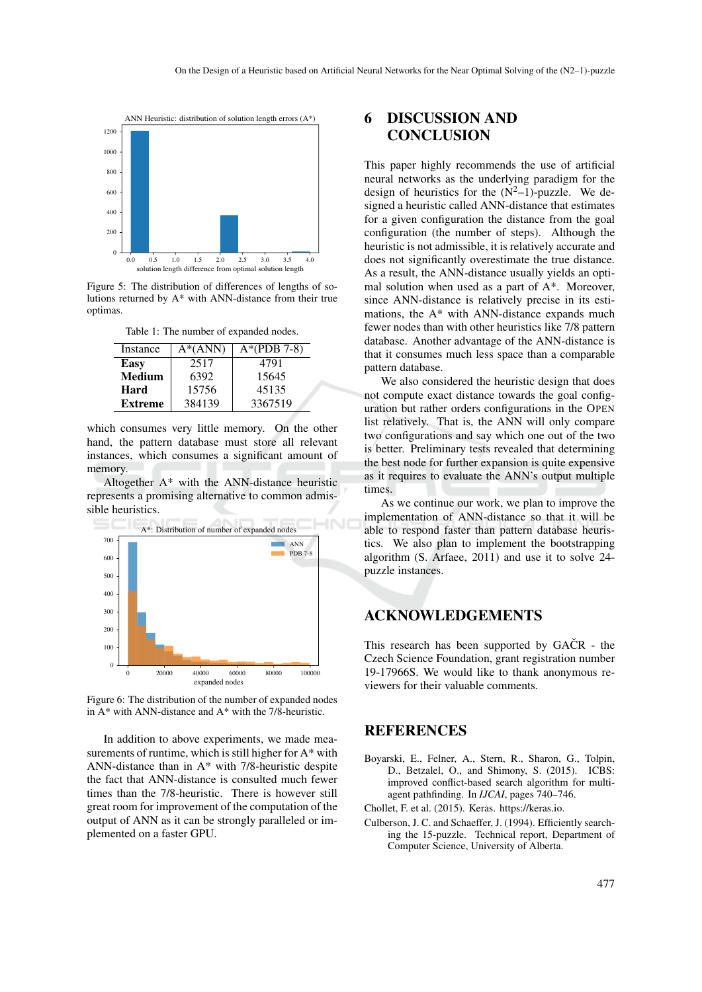

Figure 5: The distribution of differences of lengths of solutions returned by A\* with ANN-distance from their true optimas.

| Instance       | $A^*(ANN)$ | $A*(PDB 7-8)$ |
|----------------|------------|---------------|
| Easy           | 2517       | 4791          |
| Medium         | 6392       | 15645         |
| Hard           | 15756      | 45135         |
| <b>Extreme</b> | 384139     | 3367519       |

which consumes very little memory. On the other hand, the pattern database must store all relevant instances, which consumes a significant amount of memory.

Altogether A\* with the ANN-distance heuristic represents a promising alternative to common admissible heuristics.



Figure 6: The distribution of the number of expanded nodes in  $A^*$  with ANN-distance and  $A^*$  with the 7/8-heuristic.

In addition to above experiments, we made measurements of runtime, which is still higher for A\* with ANN-distance than in A\* with 7/8-heuristic despite the fact that ANN-distance is consulted much fewer times than the 7/8-heuristic. There is however still great room for improvement of the computation of the output of ANN as it can be strongly paralleled or implemented on a faster GPU.

# 6 DISCUSSION AND **CONCLUSION**

This paper highly recommends the use of artificial neural networks as the underlying paradigm for the design of heuristics for the  $(N^2-1)$ -puzzle. We designed a heuristic called ANN-distance that estimates for a given configuration the distance from the goal configuration (the number of steps). Although the heuristic is not admissible, it is relatively accurate and does not significantly overestimate the true distance. As a result, the ANN-distance usually yields an optimal solution when used as a part of A\*. Moreover, since ANN-distance is relatively precise in its estimations, the A\* with ANN-distance expands much fewer nodes than with other heuristics like 7/8 pattern database. Another advantage of the ANN-distance is that it consumes much less space than a comparable pattern database.

We also considered the heuristic design that does not compute exact distance towards the goal configuration but rather orders configurations in the OPEN list relatively. That is, the ANN will only compare two configurations and say which one out of the two is better. Preliminary tests revealed that determining the best node for further expansion is quite expensive as it requires to evaluate the ANN's output multiple times.

As we continue our work, we plan to improve the implementation of ANN-distance so that it will be able to respond faster than pattern database heuristics. We also plan to implement the bootstrapping algorithm (S. Arfaee, 2011) and use it to solve 24 puzzle instances.

# ACKNOWLEDGEMENTS

This research has been supported by  $GACR - the$ Czech Science Foundation, grant registration number 19-17966S. We would like to thank anonymous reviewers for their valuable comments.

### **REFERENCES**

- Boyarski, E., Felner, A., Stern, R., Sharon, G., Tolpin, D., Betzalel, O., and Shimony, S. (2015). ICBS: improved conflict-based search algorithm for multiagent pathfinding. In *IJCAI*, pages 740–746.
- Chollet, F. et al. (2015). Keras. https://keras.io.
- Culberson, J. C. and Schaeffer, J. (1994). Efficiently searching the 15-puzzle. Technical report, Department of Computer Science, University of Alberta.